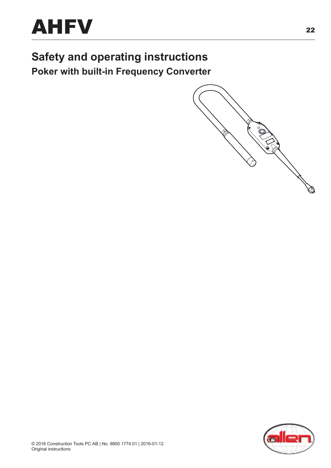

# **Safety and operating instructions Poker with built-in Frequency Converter**



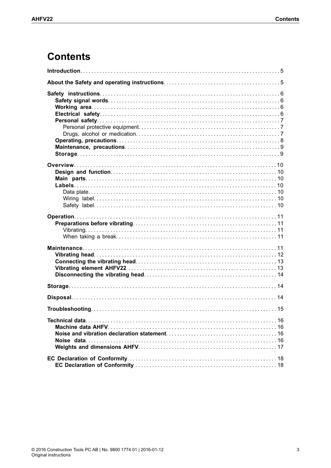# **Contents**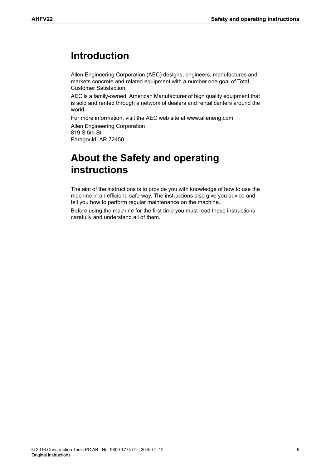# <span id="page-4-0"></span>**Introduction**

Allen Engineering Corporation (AEC) designs, engineers, manufactures and markets concrete and related equipment with a number one goal of Total Customer Satisfaction.

AEC is a family-owned, American Manufacturer of high quality equipment that is sold and rented through a network of dealers and rental centers around the world.

<span id="page-4-1"></span>For more information, visit the AEC web site at www.alleneng.com Allen Engineering Corporation 819 S 5th St Paragould, AR 72450

# **About the Safety and operating instructions**

The aim of the instructions is to provide you with knowledge of how to use the machine in an efficient, safe way. The instructions also give you advice and tell you how to perform regular maintenance on the machine.

Before using the machine for the first time you must read these instructions carefully and understand all of them.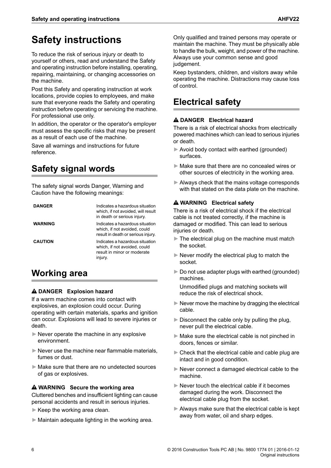# <span id="page-5-0"></span>**Safety instructions**

To reduce the risk of serious injury or death to yourself or others, read and understand the Safety and operating instruction before installing, operating, repairing, maintaining, or changing accessories on the machine.

Post this Safety and operating instruction at work locations, provide copies to employees, and make sure that everyone reads the Safety and operating instruction before operating or servicing the machine. For professional use only.

In addition, the operator or the operator's employer must assess the specific risks that may be present as a result of each use of the machine.

<span id="page-5-1"></span>Save all warnings and instructions for future reference.

# **Safety signal words**

The safety signal words Danger, Warning and Caution have the following meanings:

| <b>DANGER</b>  | Indicates a hazardous situation<br>which, if not avoided, will result<br>in death or serious injury.      |
|----------------|-----------------------------------------------------------------------------------------------------------|
| WARNING        | Indicates a hazardous situation<br>which, if not avoided, could<br>result in death or serious injury.     |
| <b>CAUTION</b> | Indicates a hazardous situation<br>which, if not avoided, could<br>result in minor or moderate<br>injury. |

# <span id="page-5-2"></span>**Working area**

## **DANGER Explosion hazard**

If a warm machine comes into contact with explosives, an explosion could occur. During operating with certain materials, sparks and ignition can occur. Explosions will lead to severe injuries or death.

- ►Never operate the machine in any explosive environment.
- $\triangleright$  Never use the machine near flammable materials, fumes or dust.
- ►Make sure that there are no undetected sources of gas or explosives.

## **WARNING Secure the working area**

Cluttered benches and insufficient lighting can cause personal accidents and result in serious injuries.

- $\blacktriangleright$  Keep the working area clean.
- $\blacktriangleright$  Maintain adequate lighting in the working area.

Only qualified and trained persons may operate or maintain the machine. They must be physically able to handle the bulk, weight, and power of the machine. Always use your common sense and good judgement.

<span id="page-5-3"></span>Keep bystanders, children, and visitors away while operating the machine. Distractions may cause loss of control.

# **Electrical safety**

## **DANGER Electrical hazard**

There is a risk of electrical shocks from electrically powered machines which can lead to serious injuries or death.

- ► Avoid body contact with earthed (grounded) surfaces.
- ►Make sure that there are no concealed wires or other sources of electricity in the working area.
- $\blacktriangleright$  Always check that the mains voltage corresponds with that stated on the data plate on the machine.

## **WARNING Electrical safety**

There is a risk of electrical shock if the electrical cable is not treated correctly, if the machine is damaged or modified. This can lead to serious injuries or death.

- ►The electrical plug on the machine must match the socket.
- $\blacktriangleright$  Never modify the electrical plug to match the socket.
- ► Do not use adapter plugs with earthed (grounded) machines.

Unmodified plugs and matching sockets will reduce the risk of electrical shock.

- ► Never move the machine by dragging the electrical cable.
- $\triangleright$  Disconnect the cable only by pulling the plug, never pull the electrical cable.
- $\blacktriangleright$  Make sure the electrical cable is not pinched in doors, fences or similar.
- $\blacktriangleright$  Check that the electrical cable and cable plug are intact and in good condition.
- ►Never connect a damaged electrical cable to the machine.
- ►Never touch the electrical cable if it becomes damaged during the work. Disconnect the electrical cable plug from the socket.
- $\blacktriangleright$  Always make sure that the electrical cable is kept away from water, oil and sharp edges.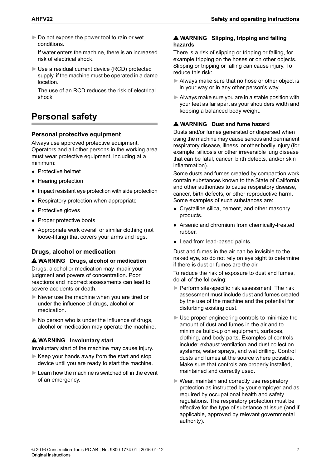►Do not expose the power tool to rain or wet conditions.

If water enters the machine, there is an increased risk of electrical shock.

►Use a residual current device (RCD) protected supply, if the machine must be operated in a damp location.

<span id="page-6-0"></span>The use of an RCD reduces the risk of electrical shock.

# <span id="page-6-1"></span>**Personal safety**

## **Personal protective equipment**

Always use approved protective equipment. Operators and all other persons in the working area must wear protective equipment, including at a minimum:

- Protective helmet
- Hearing protection
- Impact resistant eye protection with side protection
- Respiratory protection when appropriate
- Protective gloves
- <span id="page-6-2"></span>● Proper protective boots
- Appropriate work overall or similar clothing (not loose-fitting) that covers your arms and legs.

## **Drugs, alcohol or medication**

### **WARNING Drugs, alcohol or medication**

Drugs, alcohol or medication may impair your judgment and powers of concentration. Poor reactions and incorrect assessments can lead to severe accidents or death.

- ►Never use the machine when you are tired or under the influence of drugs, alcohol or medication.
- ► No person who is under the influence of drugs, alcohol or medication may operate the machine.

## **WARNING Involuntary start**

Involuntary start of the machine may cause injury.

- $\blacktriangleright$  Keep your hands away from the start and stop device until you are ready to start the machine.
- $\blacktriangleright$  Learn how the machine is switched off in the event of an emergency.

### **WARNING Slipping, tripping and falling hazards**

There is a risk of slipping or tripping or falling, for example tripping on the hoses or on other objects. Slipping or tripping or falling can cause injury. To reduce this risk:

- ►Always make sure that no hose or other object is in your way or in any other person's way.
- $\blacktriangleright$  Always make sure you are in a stable position with your feet as far apart as your shoulders width and keeping a balanced body weight.

## **WARNING Dust and fume hazard**

Dusts and/or fumes generated or dispersed when using the machine may cause serious and permanent respiratory disease, illness, or other bodily injury (for example, silicosis or other irreversible lung disease that can be fatal, cancer, birth defects, and/or skin inflammation).

Some dusts and fumes created by compaction work contain substances known to the State of California and other authorities to cause respiratory disease, cancer, birth defects, or other reproductive harm. Some examples of such substances are:

- Crystalline silica, cement, and other masonry products.
- Arsenic and chromium from chemically-treated rubber.
- Lead from lead-based paints.

Dust and fumes in the air can be invisible to the naked eye, so do not rely on eye sight to determine if there is dust or fumes are the air.

To reduce the risk of exposure to dust and fumes, do all of the following:

- ►Perform site-specific risk assessment. The risk assessment must include dust and fumes created by the use of the machine and the potential for disturbing existing dust.
- $\blacktriangleright$  Use proper engineering controls to minimize the amount of dust and fumes in the air and to minimize build-up on equipment, surfaces, clothing, and body parts. Examples of controls include: exhaust ventilation and dust collection systems, water sprays, and wet drilling. Control dusts and fumes at the source where possible. Make sure that controls are properly installed, maintained and correctly used.
- ► Wear, maintain and correctly use respiratory protection as instructed by your employer and as required by occupational health and safety regulations. The respiratory protection must be effective for the type of substance at issue (and if applicable, approved by relevant governmental authority).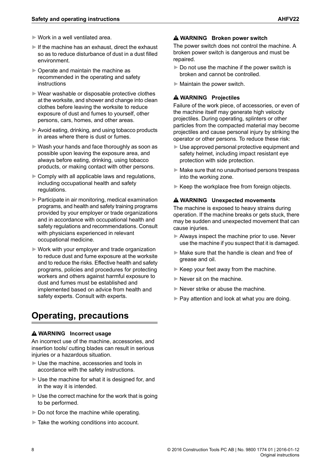- ►Work in a well ventilated area.
- $\blacktriangleright$  If the machine has an exhaust, direct the exhaust so as to reduce disturbance of dust in a dust filled environment.
- ►Operate and maintain the machine as recommended in the operating and safety instructions
- ►Wear washable or disposable protective clothes at the worksite, and shower and change into clean clothes before leaving the worksite to reduce exposure of dust and fumes to yourself, other persons, cars, homes, and other areas.
- ►Avoid eating, drinking, and using tobacco products in areas where there is dust or fumes.
- ►Wash your hands and face thoroughly as soon as possible upon leaving the exposure area, and always before eating, drinking, using tobacco products, or making contact with other persons.
- $\triangleright$  Comply with all applicable laws and regulations, including occupational health and safety regulations.
- ► Participate in air monitoring, medical examination programs, and health and safety training programs provided by your employer or trade organizations and in accordance with occupational health and safety regulations and recommendations. Consult with physicians experienced in relevant occupational medicine.
- <span id="page-7-0"></span>► Work with your employer and trade organization to reduce dust and fume exposure at the worksite and to reduce the risks. Effective health and safety programs, policies and procedures for protecting workers and others against harmful exposure to dust and fumes must be established and implemented based on advice from health and safety experts. Consult with experts.

# **Operating, precautions**

## **WARNING Incorrect usage**

An incorrect use of the machine, accessories, and insertion tools/ cutting blades can result in serious injuries or a hazardous situation.

- ► Use the machine, accessories and tools in accordance with the safety instructions.
- ► Use the machine for what it is designed for, and in the way it is intended.
- $\blacktriangleright$  Use the correct machine for the work that is going to be performed.
- ► Do not force the machine while operating.
- ► Take the working conditions into account.

### **WARNING Broken power switch**

The power switch does not control the machine. A broken power switch is dangerous and must be repaired.

- $\triangleright$  Do not use the machine if the power switch is broken and cannot be controlled.
- ► Maintain the power switch.

## **WARNING Projectiles**

Failure of the work piece, of accessories, or even of the machine itself may generate high velocity projectiles. During operating, splinters or other particles from the compacted material may become projectiles and cause personal injury by striking the operator or other persons. To reduce these risk:

- ► Use approved personal protective equipment and safety helmet, including impact resistant eye protection with side protection.
- ► Make sure that no unauthorised persons trespass into the working zone.
- ► Keep the workplace free from foreign objects.

### **WARNING Unexpected movements**

The machine is exposed to heavy strains during operation. If the machine breaks or gets stuck, there may be sudden and unexpected movement that can cause injuries.

- ► Always inspect the machine prior to use. Never use the machine if you suspect that it is damaged.
- $\blacktriangleright$  Make sure that the handle is clean and free of grease and oil.
- $\blacktriangleright$  Keep your feet away from the machine.
- $\blacktriangleright$  Never sit on the machine.
- ►Never strike or abuse the machine.
- ►Pay attention and look at what you are doing.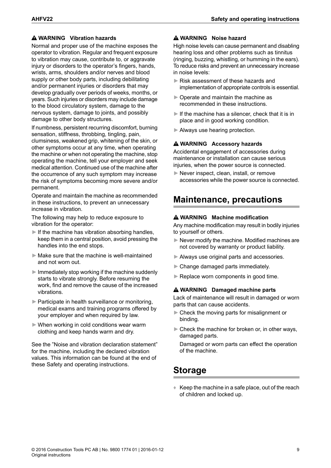## **WARNING Vibration hazards**

Normal and proper use of the machine exposes the operator to vibration. Regular and frequent exposure to vibration may cause, contribute to, or aggravate injury or disorders to the operator's fingers, hands, wrists, arms, shoulders and/or nerves and blood supply or other body parts, including debilitating and/or permanent injuries or disorders that may develop gradually over periods of weeks, months, or years. Such injuries or disorders may include damage to the blood circulatory system, damage to the nervous system, damage to joints, and possibly damage to other body structures.

If numbness, persistent recurring discomfort, burning sensation, stiffness, throbbing, tingling, pain, clumsiness, weakened grip, whitening of the skin, or other symptoms occur at any time, when operating the machine or when not operating the machine, stop operating the machine, tell your employer and seek medical attention. Continued use of the machine after the occurrence of any such symptom may increase the risk of symptoms becoming more severe and/or permanent.

Operate and maintain the machine as recommended in these instructions, to prevent an unnecessary increase in vibration.

The following may help to reduce exposure to vibration for the operator:

- $\blacktriangleright$  If the machine has vibration absorbing handles, keep them in a central position, avoid pressing the handles into the end stops.
- $\blacktriangleright$  Make sure that the machine is well-maintained and not worn out.
- $\blacktriangleright$  Immediately stop working if the machine suddenly starts to vibrate strongly. Before resuming the work, find and remove the cause of the increased vibrations.
- ► Participate in health surveillance or monitoring, medical exams and training programs offered by your employer and when required by law.
- ►When working in cold conditions wear warm clothing and keep hands warm and dry.

See the "Noise and vibration declaration statement" for the machine, including the declared vibration values. This information can be found at the end of these Safety and operating instructions.

### **WARNING Noise hazard**

High noise levels can cause permanent and disabling hearing loss and other problems such as tinnitus (ringing, buzzing, whistling, or humming in the ears). To reduce risks and prevent an unnecessary increase in noise levels:

- ► Risk assessment of these hazards and implementation of appropriate controls is essential.
- ►Operate and maintain the machine as recommended in these instructions.
- $\blacktriangleright$  If the machine has a silencer, check that it is in place and in good working condition.
- ► Always use hearing protection.

## **WARNING Accessory hazards**

Accidental engagement of accessories during maintenance or installation can cause serious injuries, when the power source is connected.

<span id="page-8-0"></span>►Never inspect, clean, install, or remove accessories while the power source is connected.

# **Maintenance, precautions**

## **WARNING Machine modification**

Any machine modification may result in bodily injuries to yourself or others.

- ► Never modify the machine. Modified machines are not covered by warranty or product liability.
- ►Always use original parts and accessories.
- ► Change damaged parts immediately.
- ► Replace worn components in good time.

## **WARNING Damaged machine parts**

Lack of maintenance will result in damaged or worn parts that can cause accidents.

- ► Check the moving parts for misalignment or binding.
- <span id="page-8-1"></span>► Check the machine for broken or, in other ways, damaged parts.

Damaged or worn parts can effect the operation of the machine.

## **Storage**

♦ Keep the machine in a safe place, out of the reach of children and locked up.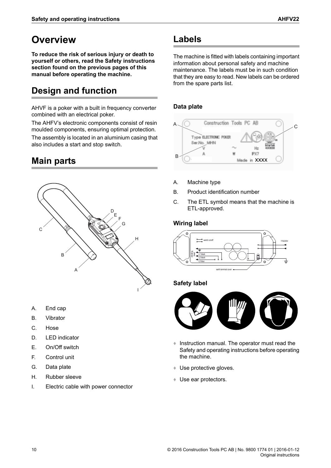# <span id="page-9-0"></span>**Overview**

**To reduce the risk of serious injury or death to yourself or others, read the Safety instructions section found on the previous pages of this manual before operating the machine.**

# <span id="page-9-1"></span>**Design and function**

AHVF is a poker with a built in frequency converter combined with an electrical poker.

<span id="page-9-2"></span>The AHFV's electronic components consist of resin moulded components, ensuring optimal protection. The assembly is located in an aluminium casing that also includes a start and stop switch.

# **Main parts**



- A. End cap
- B. Vibrator
- C. Hose
- D. LED indicator
- E. On/Off switch
- F. Control unit
- G. Data plate
- H. Rubber sleeve
- I. Electric cable with power connector

# <span id="page-9-3"></span>**Labels**

The machine is fitted with labels containing important information about personal safety and machine maintenance. The labels must be in such condition that they are easy to read. New labels can be ordered from the spare parts list.

## <span id="page-9-4"></span>**Data plate**



- A. Machine type
- <span id="page-9-5"></span>B. Product identification number
- C. The ETL symbol means that the machine is ETL-approved.

## **Wiring label**

<span id="page-9-6"></span>

## **Safety label**



- ♦ Instruction manual. The operator must read the Safety and operating instructions before operating the machine.
- ♦ Use protective gloves.
- ♦ Use ear protectors.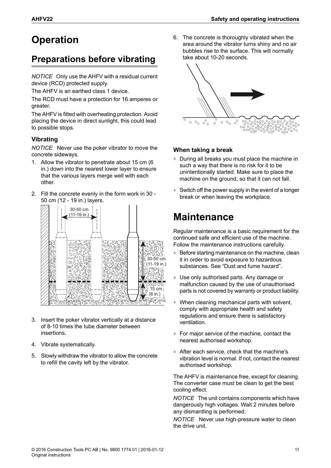# <span id="page-10-0"></span>**Operation**

# <span id="page-10-1"></span>**Preparations before vibrating**

*NOTICE* Only use the AHFV with a residual current device (RCD) protected supply.

The AHFV is an earthed class 1 device.

The RCD must have a protection for 16 amperes or greater.

<span id="page-10-2"></span>The AHFV is fitted with overheating protection. Avoid placing the device in direct sunlight, this could lead to possible stops.

## **Vibrating**

*NOTICE* Never use the poker vibrator to move the concrete sideways.

- 1. Allow the vibrator to penetrate about 15 cm (6 in.) down into the nearest lower layer to ensure that the various layers merge well with each other.
- 2. Fill the concrete evenly in the form work in 30 50 cm (12 - 19 in.) layers.



- 3. Insert the poker vibrator vertically at a distance of 8-10 times the tube diameter between insertions.
- 4. Vibrate systematically.
- 5. Slowly withdraw the vibrator to allow the concrete to refill the cavity left by the vibrator.

6. The concrete is thoroughly vibrated when the area around the vibrator turns shiny and no air bubbles rise to the surface. This will normally take about 10-20 seconds.



## <span id="page-10-3"></span>**When taking a break**

- ♦ During all breaks you must place the machine in such a way that there is no risk for it to be unintentionally started. Make sure to place the machine on the ground, so that it can not fall.
- <span id="page-10-4"></span>♦ Switch off the power supply in the event of a longer break or when leaving the workplace.

# **Maintenance**

Regular maintenance is a basic requirement for the continued safe and efficient use of the machine. Follow the maintenance instructions carefully.

- ♦ Before starting maintenance on the machine, clean it in order to avoid exposure to hazardous substances. See "Dust and fume hazard".
- Use only authorised parts. Any damage or malfunction caused by the use of unauthorised parts is not covered by warranty or product liability.
- ♦ When cleaning mechanical parts with solvent, comply with appropriate health and safety regulations and ensure there is satisfactory ventilation.
- ♦ For major service of the machine, contact the nearest authorised workshop.
- ♦ After each service, check that the machine's vibration level is normal. If not, contact the nearest authorised workshop.

The AHFV is maintenance free, except for cleaning. The converter case must be clean to get the best cooling effect.

*NOTICE* The unit contains components which have dangerously high voltages. Wait 2 minutes before any dismantling is performed.

*NOTICE* Never use high-pressure water to clean the drive unit.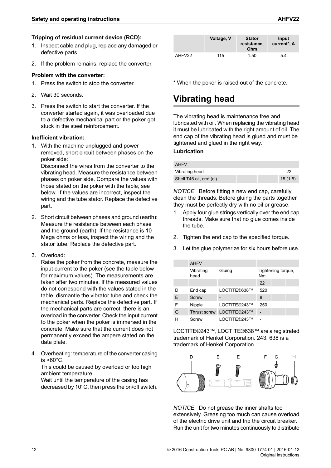### **Tripping of residual current device (RCD):**

- 1. Inspect cable and plug, replace any damaged or defective parts.
- 2. If the problem remains, replace the converter.

### **Problem with the converter:**

- 1. Press the switch to stop the converter.
- 2. Wait 30 seconds.
- 3. Press the switch to start the converter. If the converter started again, it was overloaded due to a defective mechanical part or the poker got stuck in the steel reinforcement.

#### **Inefficient vibration:**

1. With the machine unplugged and power removed, short circuit between phases on the poker side:

Disconnect the wires from the converter to the vibrating head. Measure the resistance between phases on poker side. Compare the values with those stated on the poker with the table, see below. If the values are incorrect, inspect the wiring and the tube stator. Replace the defective part.

- 2. Short circuit between phases and ground (earth): Measure the resistance between each phase and the ground (earth). If the resistance is 10 Mega ohms or less, inspect the wiring and the stator tube. Replace the defective part.
- 3. Overload:

Raise the poker from the concrete, measure the input current to the poker (see the table below for maximum values). The measurements are taken after two minutes. If the measured values do not correspond with the values stated in the table, dismantle the vibrator tube and check the mechanical parts. Replace the defective part. If the mechanical parts are correct, there is an overload in the converter. Check the input current to the poker when the poker is immersed in the concrete. Make sure that the current does not permanently exceed the ampere stated on the data plate.

4. Overheating: temperature of the converter casing is  $>60^{\circ}$ C.

This could be caused by overload or too high ambient temperature.

Wait until the temperature of the casing has decreased by 10°C, then press the on/off switch.

|        | Voltage, V | <b>Stator</b><br>resistance,<br>Ohm | Input<br>current*, A |
|--------|------------|-------------------------------------|----------------------|
| AHFV22 | 115        | 1.50                                | 5.4                  |

<span id="page-11-0"></span>\* When the poker is raised out of the concrete.

# **Vibrating head**

The vibrating head is maintenance free and lubricated with oil. When replacing the vibrating head it must be lubricated with the right amount of oil. The end cap of the vibrating head is glued and must be tightened and glued in the right way.

#### **Lubrication**

| <b>AHFV</b>               |  |         |
|---------------------------|--|---------|
| Vibrating head            |  | つつ      |
| Shell T46 oil, $cm3$ (cl) |  | 15(1.5) |

*NOTICE* Before fitting a new end cap, carefully clean the threads. Before gluing the parts together they must be perfectly dry with no oil or grease.

- 1. Apply four glue strings vertically over the end cap threads. Make sure that no glue comes inside the tube.
- 2. Tighten the end cap to the specified torque.
- 3. Let the glue polymerize for six hours before use.

|   | <b>AHFV</b>       |              |     |                    |  |
|---|-------------------|--------------|-----|--------------------|--|
|   | Vibrating<br>head | Gluing       | Nm  | Tightening torque, |  |
|   |                   |              | 22  |                    |  |
| D | End cap           | LOCTITE®638™ | 520 |                    |  |
| E | Screw             |              | 8   |                    |  |
| F | Nipple            | LOCTITE®243™ | 250 |                    |  |
| G | Thrust screw      | LOCTITE®243™ |     |                    |  |
| н | Screw             | LOCTITE®243™ |     |                    |  |

LOCTITE®243™, LOCTITE®638™ are a registrated trademark of Henkel Corporation. 243, 638 is a trademark of Henkel Corporation.



*NOTICE* Do not grease the inner shafts too extensively. Greasing too much can cause overload of the electric drive unit and trip the circuit breaker. Run the unit for two minutes continuously to distribute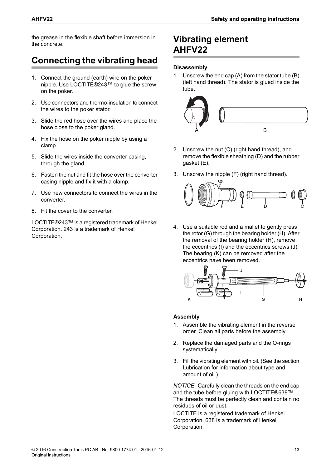<span id="page-12-0"></span>the grease in the flexible shaft before immersion in the concrete.

# **Connecting the vibrating head**

- 1. Connect the ground (earth) wire on the poker nipple. Use LOCTITE®243™ to glue the screw on the poker.
- 2. Use connectors and thermo-insulation to connect the wires to the poker stator.
- 3. Slide the red hose over the wires and place the hose close to the poker gland.
- 4. Fix the hose on the poker nipple by using a clamp.
- 5. Slide the wires inside the converter casing, through the gland.
- 6. Fasten the nut and fit the hose over the converter casing nipple and fix it with a clamp.
- 7. Use new connectors to connect the wires in the converter.
- 8. Fit the cover to the converter.

LOCTITE®243™ is a registered trademark of Henkel Corporation. 243 is a trademark of Henkel Corporation.

# <span id="page-12-1"></span>**Vibrating element AHFV22**

### **Disassembly**

1. Unscrew the end cap (A) from the stator tube (B) (left hand thread). The stator is glued inside the tube.



- 2. Unscrew the nut (C) (right hand thread), and remove the flexible sheathing (D) and the rubber gasket (E).
- 3. Unscrew the nipple (F) (right hand thread).



4. Use a suitable rod and a mallet to gently press the rotor (G) through the bearing holder (H). After the removal of the bearing holder (H), remove the eccentrics (I) and the eccentrics screws (J). The bearing (K) can be removed after the eccentrics have been removed.



## **Assembly**

- 1. Assemble the vibrating element in the reverse order. Clean all parts before the assembly.
- 2. Replace the damaged parts and the O-rings systematically.
- 3. Fill the vibrating element with oil. (See the section Lubrication for information about type and amount of oil.)

*NOTICE* Carefully clean the threads on the end cap and the tube before gluing with LOCTITE®638™ . The threads must be perfectly clean and contain no residues of oil or dust.

LOCTITE is a registered trademark of Henkel Corporation. 638 is a trademark of Henkel Corporation.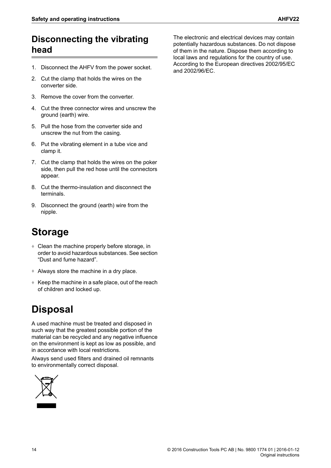# <span id="page-13-0"></span>**Disconnecting the vibrating head**

- 1. Disconnect the AHFV from the power socket.
- 2. Cut the clamp that holds the wires on the converter side.
- 3. Remove the cover from the converter.
- 4. Cut the three connector wires and unscrew the ground (earth) wire.
- 5. Pull the hose from the converter side and unscrew the nut from the casing.
- 6. Put the vibrating element in a tube vice and clamp it.
- 7. Cut the clamp that holds the wires on the poker side, then pull the red hose until the connectors appear.
- 8. Cut the thermo-insulation and disconnect the terminals.
- <span id="page-13-1"></span>9. Disconnect the ground (earth) wire from the nipple.

# **Storage**

- ♦ Clean the machine properly before storage, in order to avoid hazardous substances. See section "Dust and fume hazard".
- <span id="page-13-2"></span>♦ Always store the machine in a dry place.
- ♦ Keep the machine in a safe place, out of the reach of children and locked up.

# **Disposal**

A used machine must be treated and disposed in such way that the greatest possible portion of the material can be recycled and any negative influence on the environment is kept as low as possible, and in accordance with local restrictions.

Always send used filters and drained oil remnants to environmentally correct disposal.



The electronic and electrical devices may contain potentially hazardous substances. Do not dispose of them in the nature. Dispose them according to local laws and regulations for the country of use. According to the European directives 2002/95/EC and 2002/96/EC.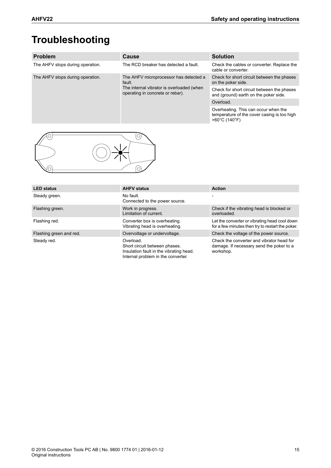# <span id="page-14-0"></span>**Troubleshooting**

| Problem                                                                        | Cause                                     | <b>Solution</b>                                                                     |
|--------------------------------------------------------------------------------|-------------------------------------------|-------------------------------------------------------------------------------------|
| The AHFV stops during operation.                                               | The RCD breaker has detected a fault.     | Check the cables or converter. Replace the<br>cable or converter.                   |
| The AHFV stops during operation.<br>fault.<br>operating in concrete or rebar). | The AHFV microprocessor has detected a    | Check for short circuit between the phases<br>on the poker side.                    |
|                                                                                | The internal vibrator is overloaded (when | Check for short circuit between the phases<br>and (ground) earth on the poker side. |
|                                                                                |                                           | Overload.                                                                           |
|                                                                                |                                           |                                                                                     |

Overheating. This can occur when the temperature of the cover casing is too high >60°C (140°F)



| <b>LED status</b>       | <b>AHFV status</b>                                                                                                          | <b>Action</b>                                                                                      |
|-------------------------|-----------------------------------------------------------------------------------------------------------------------------|----------------------------------------------------------------------------------------------------|
| Steady green.           | No fault.<br>Connected to the power source.                                                                                 | $\overline{\phantom{a}}$                                                                           |
| Flashing green.         | Work in progress.<br>Limitation of current.                                                                                 | Check if the vibrating head is blocked or<br>overloaded.                                           |
| Flashing red.           | Converter box is overheating.<br>Vibrating head is overheating.                                                             | Let the converter or vibrating head cool down<br>for a few minutes then try to restart the poker.  |
| Flashing green and red. | Overvoltage or undervoltage.                                                                                                | Check the voltage of the power source.                                                             |
| Steady red.             | Overload.<br>Short circuit between phases.<br>Insulation fault in the vibrating head.<br>Internal problem in the converter. | Check the converter and vibrator head for<br>damage. If necessary send the poker to a<br>workshop. |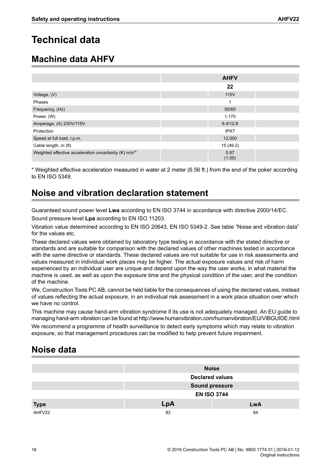# <span id="page-15-0"></span>**Technical data**

# <span id="page-15-1"></span>**Machine data AHFV**

|                                                                   | <b>AHFV</b>    |
|-------------------------------------------------------------------|----------------|
|                                                                   | 22             |
| Voltage, (V)                                                      | <b>115V</b>    |
| Phases                                                            |                |
| Frequency, (Hz)                                                   | 50/60          |
| Power, (W)                                                        | 1,170          |
| Amperage, (A) 230V/115V                                           | 6.4/12.8       |
| Protection                                                        | IPX7           |
| Speed at full load, r.p.m.                                        | 12,000         |
| Cable length, m (ft)                                              | 15(49.2)       |
| Weighted effective acceleration uncertainty (K) m/s <sup>2*</sup> | 5.87<br>(1.00) |

<span id="page-15-2"></span>\* Weighted effective acceleration measured in water at 2 meter (6.56 ft.) from the end of the poker according to EN ISO 5349.

# **Noise and vibration declaration statement**

Guaranteed sound power level **Lwa** according to EN ISO 3744 in accordance with directive 2000/14/EC.

Sound pressure level **Lpa** according to EN ISO 11203.

Vibration value determined according to EN ISO 20643, EN ISO 5349-2. See table "Noise and vibration data" for the values etc.

These declared values were obtained by laboratory type testing in accordance with the stated directive or standards and are suitable for comparison with the declared values of other machines tested in accordance with the same directive or standards. These declared values are not suitable for use in risk assessments and values measured in individual work places may be higher. The actual exposure values and risk of harm experienced by an individual user are unique and depend upon the way the user works, in what material the machine is used, as well as upon the exposure time and the physical condition of the user, and the condition of the machine.

We, Construction Tools PC AB, cannot be held liable for the consequences of using the declared values, instead of values reflecting the actual exposure, in an individual risk assessment in a work place situation over which we have no control.

<span id="page-15-3"></span>This machine may cause hand-arm vibration syndrome if its use is not adequately managed. An EU guide to managing hand-arm vibration can be found at http://www.humanvibration.com/humanvibration/EU/VIBGUIDE.html We recommend a programme of health surveillance to detect early symptoms which may relate to vibration exposure, so that management procedures can be modified to help prevent future impairment.

# **Noise data**

|             | <b>Noise</b>       |                        |
|-------------|--------------------|------------------------|
|             |                    | <b>Declared values</b> |
|             |                    | <b>Sound pressure</b>  |
|             | <b>EN ISO 3744</b> |                        |
| <b>Type</b> | LpA                | <b>LwA</b>             |
| AHFV22      | 83                 | 94                     |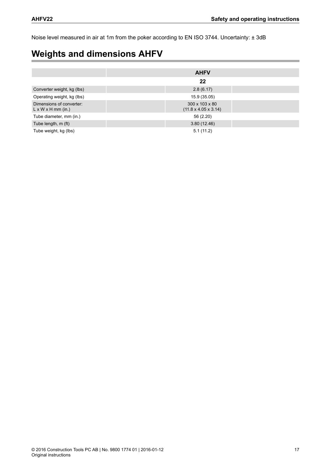<span id="page-16-0"></span>Noise level measured in air at 1m from the poker according to EN ISO 3744. Uncertainty: ± 3dB

# **Weights and dimensions AHFV**

|                                                            | <b>AHFV</b>                                        |  |
|------------------------------------------------------------|----------------------------------------------------|--|
|                                                            | 22                                                 |  |
| Converter weight, kg (lbs)                                 | 2.8(6.17)                                          |  |
| Operating weight, kg (lbs)                                 | 15.9 (35.05)                                       |  |
| Dimensions of converter:<br>$L \times W \times H$ mm (in.) | 300 x 103 x 80<br>$(11.8 \times 4.05 \times 3.14)$ |  |
| Tube diameter, mm (in.)                                    | 56 (2.20)                                          |  |
| Tube length, m (ft)                                        | 3.80(12.46)                                        |  |
| Tube weight, kg (lbs)                                      | 5.1(11.2)                                          |  |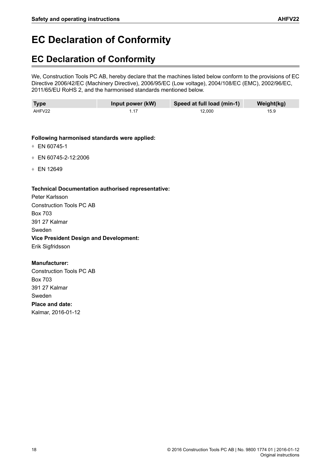# <span id="page-17-0"></span>**EC Declaration of Conformity**

# <span id="page-17-1"></span>**EC Declaration of Conformity**

We, Construction Tools PC AB, hereby declare that the machines listed below conform to the provisions of EC Directive 2006/42/EC (Machinery Directive), 2006/95/EC (Low voltage), 2004/108/EC (EMC), 2002/96/EC, 2011/65/EU RoHS 2, and the harmonised standards mentioned below.

| <b>Type</b> | Input power (kW) | Speed at full load (min-1) | Weight(kg) |
|-------------|------------------|----------------------------|------------|
| AHFV22      |                  | 12.000                     | 15.9       |

### **Following harmonised standards were applied:**

- ♦ EN 60745-1
- ♦ EN 60745-2-12:2006
- ♦ EN 12649

## **Technical Documentation authorised representative:**

Peter Karlsson Construction Tools PC AB Box 703 391 27 Kalmar Sweden **Vice President Design and Development:** Erik Sigfridsson

## **Manufacturer:**

Construction Tools PC AB Box 703 391 27 Kalmar Sweden **Place and date:** Kalmar, 2016-01-12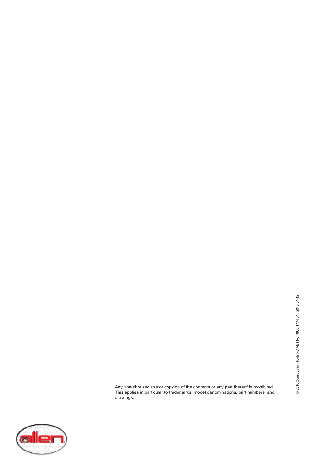Any unauthorized use or copying of the contents or any part thereof is prohibited. This applies in particular to trademarks, model denominations, part numbers, and drawings.

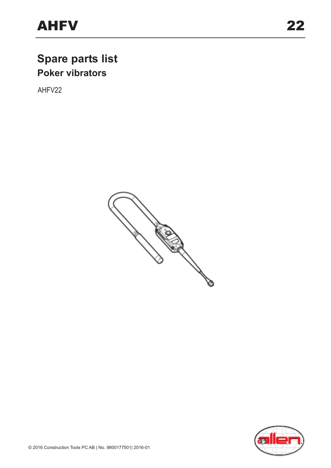# **Spare parts list Poker vibrators**

AHFV22



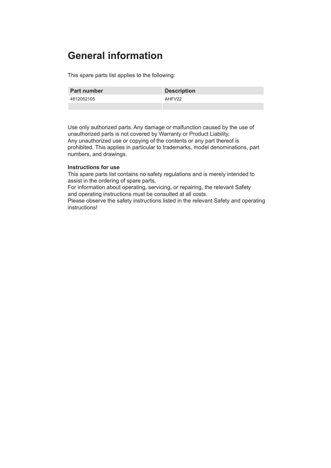# **General information**

This spare parts list applies to the following:

| <b>Part number</b> | <b>Description</b> |
|--------------------|--------------------|
| 4812052105         | AHFV22             |
|                    |                    |

Use only authorized parts. Any damage or malfunction caused by the use of unauthorized parts is not covered by Warranty or Product Liability. Any unauthorized use or copying of the contents or any part thereof is prohibited. This applies in particular to trademarks, model denominations, part numbers, and drawings.

#### **Instructions for use**

This spare parts list contains no safety regulations and is merely intended to assist in the ordering of spare parts.

For information about operating, servicing, or repairing, the relevant Safety and operating instructions must be consulted at all costs.

Please observe the safety instructions listed in the relevant Safety and operating instructions!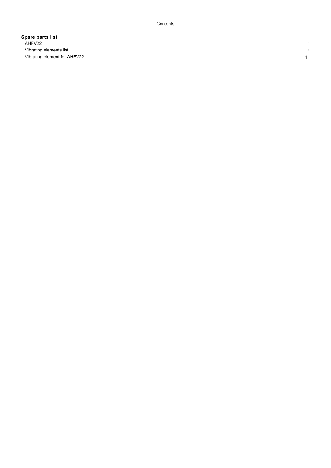**Spare parts list** AHFV22 Vibrating elements list Vibrating element for AHFV22 11

 1 4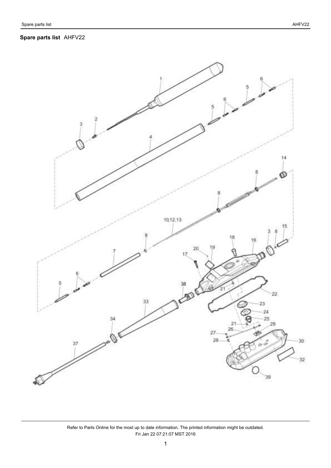## **Spare parts list** AHFV22

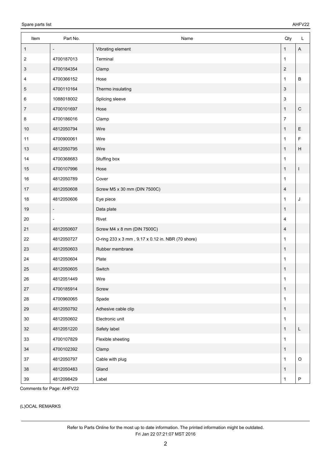| Item             | Part No.                 | Name                                              | Qty            | L           |
|------------------|--------------------------|---------------------------------------------------|----------------|-------------|
| $\mathbf{1}$     | $\overline{\phantom{a}}$ | Vibrating element                                 | $\mathbf{1}$   | A           |
| $\overline{2}$   | 4700187013               | Terminal                                          | $\mathbf{1}$   |             |
| 3                | 4700184354               | Clamp                                             | $\sqrt{2}$     |             |
| 4                | 4700366152               | Hose                                              | 1              | B           |
| 5                | 4700110164               | Thermo insulating                                 | $\sqrt{3}$     |             |
| 6                | 1088018002               | Splicing sleeve                                   | 3              |             |
| $\boldsymbol{7}$ | 4700101697               | Hose                                              | $\mathbf{1}$   | $\mathsf C$ |
| 8                | 4700186016               | Clamp                                             | $\overline{7}$ |             |
| 10               | 4812050794               | Wire                                              | $\mathbf{1}$   | Ε           |
| 11               | 4700900061               | Wire                                              | 1              | F           |
| 13               | 4812050795               | Wire                                              | $\mathbf{1}$   | Н           |
| 14               | 4700368683               | Stuffing box                                      | 1              |             |
| 15               | 4700107996               | Hose                                              | $\mathbf{1}$   | L           |
| 16               | 4812050789               | Cover                                             | 1              |             |
| 17               | 4812050608               | Screw M5 x 30 mm (DIN 7500C)                      | 4              |             |
| 18               | 4812050606               | Eye piece                                         | 1              | J           |
| 19               | $\overline{\phantom{a}}$ | Data plate                                        | $\mathbf{1}$   |             |
| 20               | $\overline{\phantom{a}}$ | Rivet                                             | 4              |             |
| 21               | 4812050607               | Screw M4 x 8 mm (DIN 7500C)                       | 4              |             |
| 22               | 4812050727               | O-ring 233 x 3 mm, 9.17 x 0.12 in. NBR (70 shore) | 1              |             |
| 23               | 4812050603               | Rubber membrane                                   | $\mathbf{1}$   |             |
| 24               | 4812050604               | Plate                                             | 1              |             |
| 25               | 4812050605               | Switch                                            | $\mathbf{1}$   |             |
| 26               | 4812051449               | Wire                                              | 1              |             |
| 27               | 4700185914               | Screw                                             | $\mathbf{1}$   |             |
| 28               | 4700960065               | Spade                                             | $\mathbf{1}$   |             |
| 29               | 4812050792               | Adhesive cable clip                               | $\mathbf{1}$   |             |
| $30\,$           | 4812050602               | Electronic unit                                   | $\mathbf{1}$   |             |
| $32\,$           | 4812051220               | Safety label                                      | $\mathbf{1}$   | L           |
| $33\,$           | 4700107829               | Flexible sheeting                                 | $\mathbf{1}$   |             |
| $34\,$           | 4700102392               | Clamp                                             | $\mathbf{1}$   |             |
| $37\,$           | 4812050797               | Cable with plug                                   | $\mathbf{1}$   | $\circ$     |
| $38\,$           | 4812050483               | Gland                                             | $\mathbf{1}$   |             |
| 39               | 4812098429               | Label                                             | $\mathbf{1}$   | $\sf P$     |

Comments for Page: AHFV22

### (L)OCAL REMARKS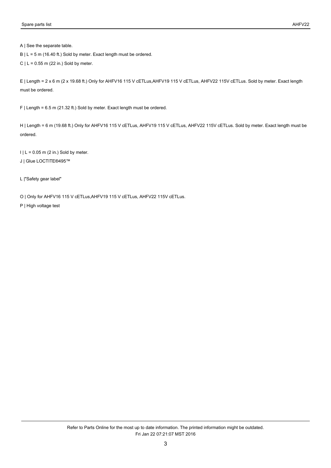A | See the separate table.

B | L = 5 m (16.40 ft.) Sold by meter. Exact length must be ordered.

 $C$  | L = 0.55 m (22 in.) Sold by meter.

E | Length = 2 x 6 m (2 x 19.68 ft.) Only for AHFV16 115 V cETLus,AHFV19 115 V cETLus, AHFV22 115V cETLus. Sold by meter. Exact length must be ordered.

F | Length = 6.5 m (21.32 ft.) Sold by meter. Exact length must be ordered.

H | Length = 6 m (19.68 ft.) Only for AHFV16 115 V cETLus, AHFV19 115 V cETLus, AHFV22 115V cETLus. Sold by meter. Exact length must be ordered.

 $I | L = 0.05$  m (2 in.) Sold by meter.

J | Glue LOCTITE®495™

L |"Safety gear label"

O | Only for AHFV16 115 V cETLus,AHFV19 115 V cETLus, AHFV22 115V cETLus.

P | High voltage test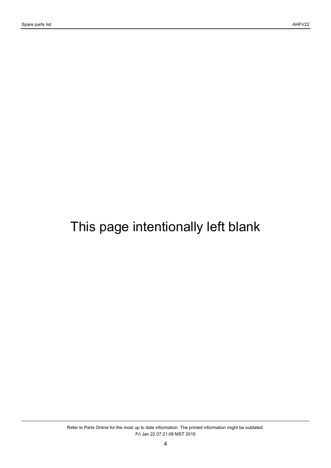# This page intentionally left blank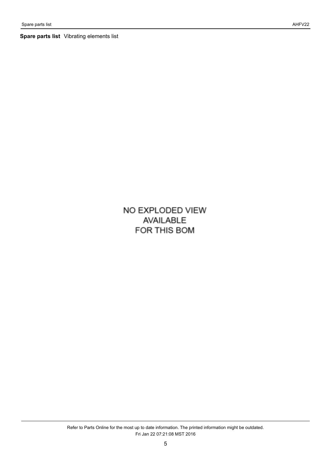**Spare parts list** Vibrating elements list

NO EXPLODED VIEW **AVAILABLE** FOR THIS BOM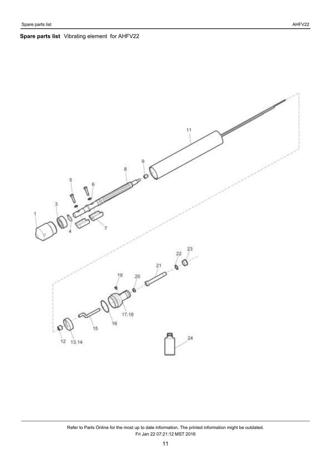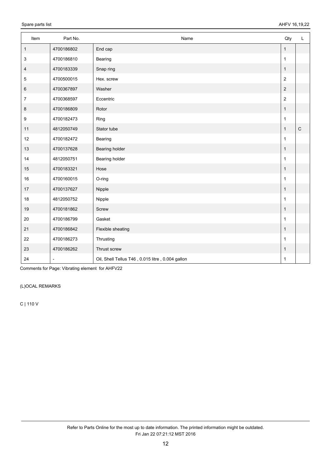| Item                      | Part No.                 | Name                                             | Qty              | L           |
|---------------------------|--------------------------|--------------------------------------------------|------------------|-------------|
| $\mathbf{1}$              | 4700186802               | End cap                                          | $\mathbf{1}$     |             |
| $\ensuremath{\mathsf{3}}$ | 4700186810               | Bearing                                          | $\mathbf{1}$     |             |
| 4                         | 4700183339               | Snap ring                                        | $\mathbf{1}$     |             |
| 5                         | 4700500015               | Hex. screw                                       | $\overline{c}$   |             |
| 6                         | 4700367897               | Washer                                           | $\overline{2}$   |             |
| 7                         | 4700368597               | Eccentric                                        | $\boldsymbol{2}$ |             |
| 8                         | 4700186809               | Rotor                                            | $\mathbf{1}$     |             |
| 9                         | 4700182473               | Ring                                             | 1                |             |
| 11                        | 4812050749               | Stator tube                                      | $\mathbf{1}$     | $\mathsf C$ |
| 12                        | 4700182472               | Bearing                                          | $\mathbf{1}$     |             |
| 13                        | 4700137628               | Bearing holder                                   | $\mathbf{1}$     |             |
| 14                        | 4812050751               | Bearing holder                                   | $\mathbf{1}$     |             |
| 15                        | 4700183321               | Hose                                             | $\mathbf{1}$     |             |
| 16                        | 4700160015               | O-ring                                           | 1                |             |
| 17                        | 4700137627               | Nipple                                           | $\mathbf{1}$     |             |
| 18                        | 4812050752               | Nipple                                           | 1                |             |
| 19                        | 4700181862               | Screw                                            | $\mathbf{1}$     |             |
| 20                        | 4700186799               | Gasket                                           | 1                |             |
| 21                        | 4700186842               | Flexible sheating                                | $\mathbf{1}$     |             |
| 22                        | 4700186273               | Thrusting                                        | $\mathbf{1}$     |             |
| 23                        | 4700186262               | Thrust screw                                     | $\mathbf{1}$     |             |
| 24                        | $\overline{\phantom{0}}$ | Oil, Shell Tellus T46, 0.015 litre, 0.004 gallon | $\mathbf{1}$     |             |

Comments for Page: Vibrating element for AHFV22

### (L)OCAL REMARKS

C | 110 V